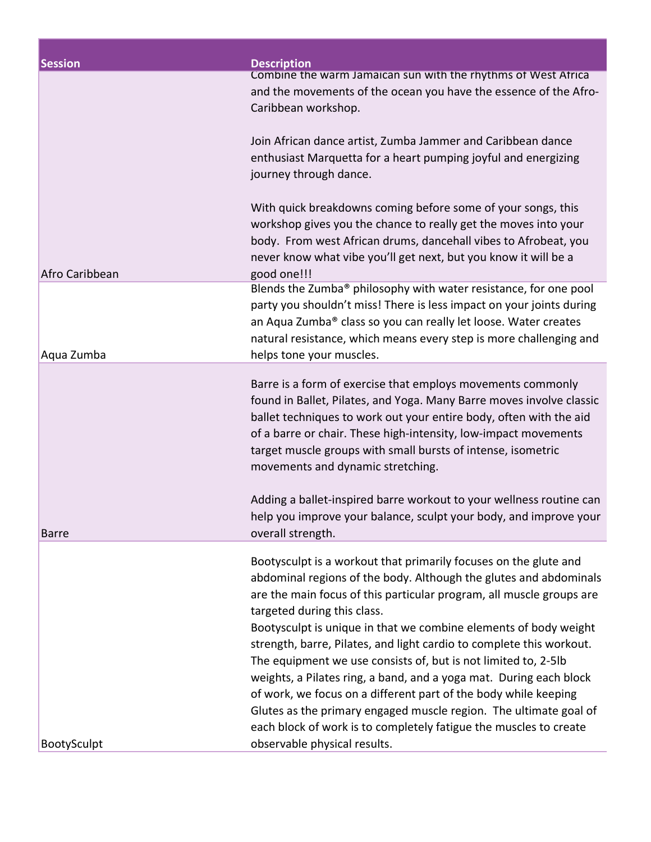| <b>Session</b> | <b>Description</b>                                                                                                                                                                                                                                                                                                                                                                                                                                                                                                                                                                                                                                                                                                                            |
|----------------|-----------------------------------------------------------------------------------------------------------------------------------------------------------------------------------------------------------------------------------------------------------------------------------------------------------------------------------------------------------------------------------------------------------------------------------------------------------------------------------------------------------------------------------------------------------------------------------------------------------------------------------------------------------------------------------------------------------------------------------------------|
|                | Combine the warm Jamaican sun with the rhythms of West Africa<br>and the movements of the ocean you have the essence of the Afro-<br>Caribbean workshop.                                                                                                                                                                                                                                                                                                                                                                                                                                                                                                                                                                                      |
|                | Join African dance artist, Zumba Jammer and Caribbean dance<br>enthusiast Marquetta for a heart pumping joyful and energizing<br>journey through dance.                                                                                                                                                                                                                                                                                                                                                                                                                                                                                                                                                                                       |
| Afro Caribbean | With quick breakdowns coming before some of your songs, this<br>workshop gives you the chance to really get the moves into your<br>body. From west African drums, dancehall vibes to Afrobeat, you<br>never know what vibe you'll get next, but you know it will be a<br>good one!!!                                                                                                                                                                                                                                                                                                                                                                                                                                                          |
| Aqua Zumba     | Blends the Zumba® philosophy with water resistance, for one pool<br>party you shouldn't miss! There is less impact on your joints during<br>an Aqua Zumba® class so you can really let loose. Water creates<br>natural resistance, which means every step is more challenging and<br>helps tone your muscles.                                                                                                                                                                                                                                                                                                                                                                                                                                 |
|                | Barre is a form of exercise that employs movements commonly<br>found in Ballet, Pilates, and Yoga. Many Barre moves involve classic<br>ballet techniques to work out your entire body, often with the aid<br>of a barre or chair. These high-intensity, low-impact movements<br>target muscle groups with small bursts of intense, isometric<br>movements and dynamic stretching.                                                                                                                                                                                                                                                                                                                                                             |
| <b>Barre</b>   | Adding a ballet-inspired barre workout to your wellness routine can<br>help you improve your balance, sculpt your body, and improve your<br>overall strength.                                                                                                                                                                                                                                                                                                                                                                                                                                                                                                                                                                                 |
|                | Bootysculpt is a workout that primarily focuses on the glute and<br>abdominal regions of the body. Although the glutes and abdominals<br>are the main focus of this particular program, all muscle groups are<br>targeted during this class.<br>Bootysculpt is unique in that we combine elements of body weight<br>strength, barre, Pilates, and light cardio to complete this workout.<br>The equipment we use consists of, but is not limited to, 2-5lb<br>weights, a Pilates ring, a band, and a yoga mat. During each block<br>of work, we focus on a different part of the body while keeping<br>Glutes as the primary engaged muscle region. The ultimate goal of<br>each block of work is to completely fatigue the muscles to create |
| BootySculpt    | observable physical results.                                                                                                                                                                                                                                                                                                                                                                                                                                                                                                                                                                                                                                                                                                                  |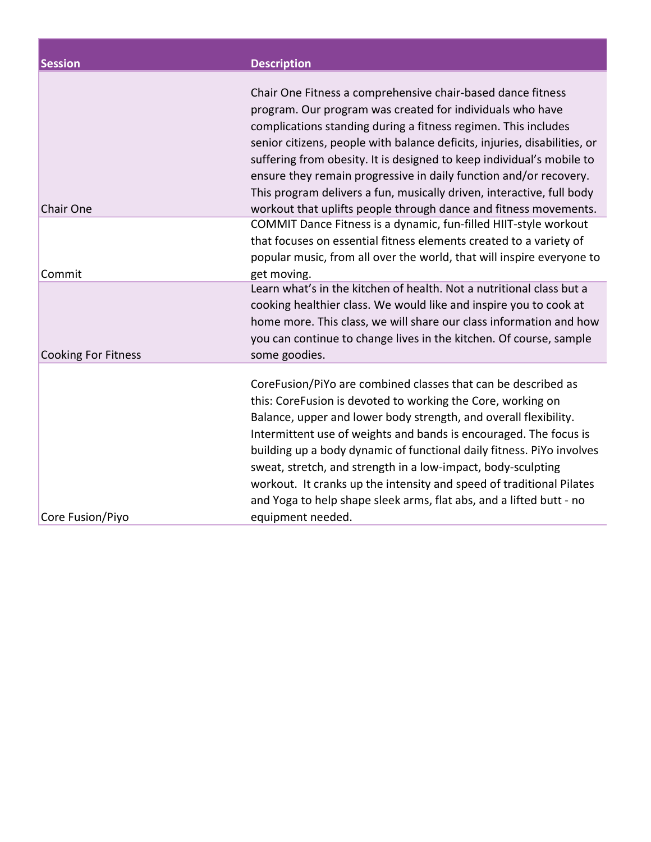| <b>Session</b>             | <b>Description</b>                                                                                                                                                                                                                                                                                                                                                                                                                                                                                                                                                                 |
|----------------------------|------------------------------------------------------------------------------------------------------------------------------------------------------------------------------------------------------------------------------------------------------------------------------------------------------------------------------------------------------------------------------------------------------------------------------------------------------------------------------------------------------------------------------------------------------------------------------------|
| Chair One                  | Chair One Fitness a comprehensive chair-based dance fitness<br>program. Our program was created for individuals who have<br>complications standing during a fitness regimen. This includes<br>senior citizens, people with balance deficits, injuries, disabilities, or<br>suffering from obesity. It is designed to keep individual's mobile to<br>ensure they remain progressive in daily function and/or recovery.<br>This program delivers a fun, musically driven, interactive, full body<br>workout that uplifts people through dance and fitness movements.                 |
| Commit                     | COMMIT Dance Fitness is a dynamic, fun-filled HIIT-style workout<br>that focuses on essential fitness elements created to a variety of<br>popular music, from all over the world, that will inspire everyone to<br>get moving.                                                                                                                                                                                                                                                                                                                                                     |
| <b>Cooking For Fitness</b> | Learn what's in the kitchen of health. Not a nutritional class but a<br>cooking healthier class. We would like and inspire you to cook at<br>home more. This class, we will share our class information and how<br>you can continue to change lives in the kitchen. Of course, sample<br>some goodies.                                                                                                                                                                                                                                                                             |
| Core Fusion/Piyo           | CoreFusion/PiYo are combined classes that can be described as<br>this: CoreFusion is devoted to working the Core, working on<br>Balance, upper and lower body strength, and overall flexibility.<br>Intermittent use of weights and bands is encouraged. The focus is<br>building up a body dynamic of functional daily fitness. PiYo involves<br>sweat, stretch, and strength in a low-impact, body-sculpting<br>workout. It cranks up the intensity and speed of traditional Pilates<br>and Yoga to help shape sleek arms, flat abs, and a lifted butt - no<br>equipment needed. |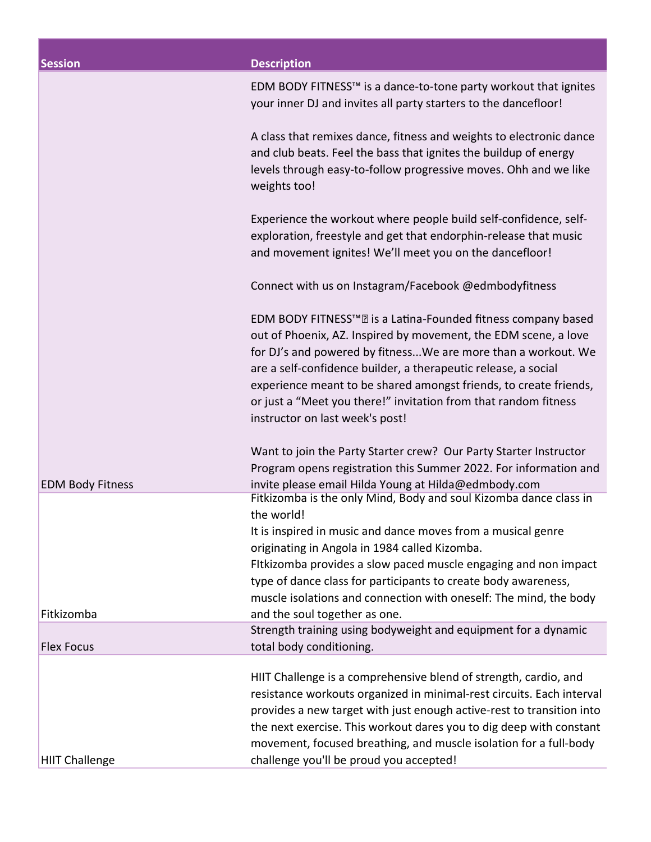| <b>Session</b>          | <b>Description</b>                                                                                                                                                                                                                                                                                                                                                                                                                                    |
|-------------------------|-------------------------------------------------------------------------------------------------------------------------------------------------------------------------------------------------------------------------------------------------------------------------------------------------------------------------------------------------------------------------------------------------------------------------------------------------------|
|                         | EDM BODY FITNESS™ is a dance-to-tone party workout that ignites<br>your inner DJ and invites all party starters to the dancefloor!                                                                                                                                                                                                                                                                                                                    |
|                         | A class that remixes dance, fitness and weights to electronic dance<br>and club beats. Feel the bass that ignites the buildup of energy<br>levels through easy-to-follow progressive moves. Ohh and we like<br>weights too!                                                                                                                                                                                                                           |
|                         | Experience the workout where people build self-confidence, self-<br>exploration, freestyle and get that endorphin-release that music<br>and movement ignites! We'll meet you on the dancefloor!                                                                                                                                                                                                                                                       |
|                         | Connect with us on Instagram/Facebook @edmbodyfitness                                                                                                                                                                                                                                                                                                                                                                                                 |
|                         | EDM BODY FITNESS™ <b>R</b> is a Latina-Founded fitness company based<br>out of Phoenix, AZ. Inspired by movement, the EDM scene, a love<br>for DJ's and powered by fitnessWe are more than a workout. We<br>are a self-confidence builder, a therapeutic release, a social<br>experience meant to be shared amongst friends, to create friends,<br>or just a "Meet you there!" invitation from that random fitness<br>instructor on last week's post! |
| <b>EDM Body Fitness</b> | Want to join the Party Starter crew? Our Party Starter Instructor<br>Program opens registration this Summer 2022. For information and<br>invite please email Hilda Young at Hilda@edmbody.com                                                                                                                                                                                                                                                         |
|                         | Fitkizomba is the only Mind, Body and soul Kizomba dance class in<br>the world!                                                                                                                                                                                                                                                                                                                                                                       |
|                         | It is inspired in music and dance moves from a musical genre<br>originating in Angola in 1984 called Kizomba.<br>Fitkizomba provides a slow paced muscle engaging and non impact<br>type of dance class for participants to create body awareness,                                                                                                                                                                                                    |
| Fitkizomba              | muscle isolations and connection with oneself: The mind, the body<br>and the soul together as one.                                                                                                                                                                                                                                                                                                                                                    |
| <b>Flex Focus</b>       | Strength training using bodyweight and equipment for a dynamic<br>total body conditioning.                                                                                                                                                                                                                                                                                                                                                            |
| <b>HIIT Challenge</b>   | HIIT Challenge is a comprehensive blend of strength, cardio, and<br>resistance workouts organized in minimal-rest circuits. Each interval<br>provides a new target with just enough active-rest to transition into<br>the next exercise. This workout dares you to dig deep with constant<br>movement, focused breathing, and muscle isolation for a full-body<br>challenge you'll be proud you accepted!                                             |
|                         |                                                                                                                                                                                                                                                                                                                                                                                                                                                       |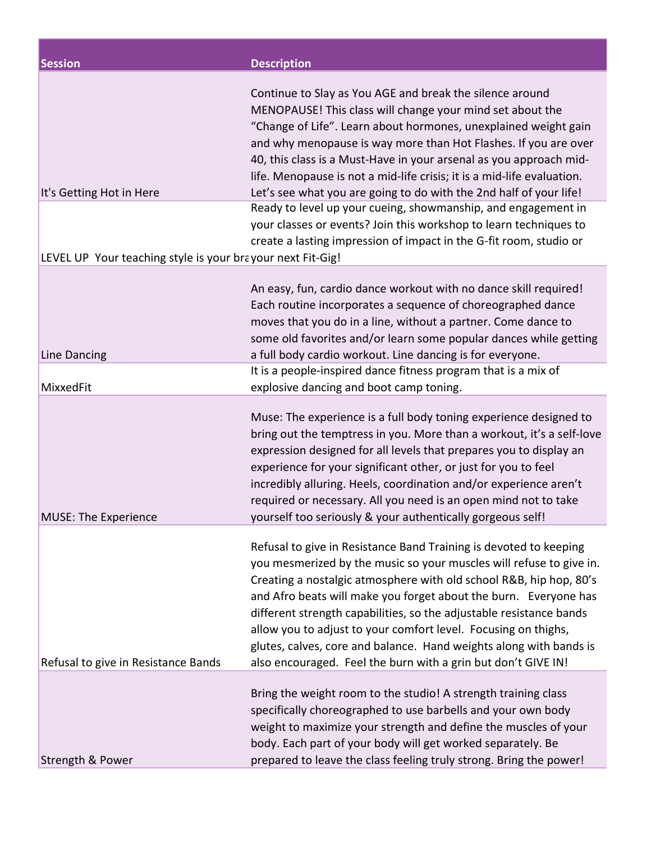| <b>Session</b>                                             | <b>Description</b>                                                                                                                                                                                                                                                                                                                                                                                                                                                                                                                                                 |
|------------------------------------------------------------|--------------------------------------------------------------------------------------------------------------------------------------------------------------------------------------------------------------------------------------------------------------------------------------------------------------------------------------------------------------------------------------------------------------------------------------------------------------------------------------------------------------------------------------------------------------------|
| It's Getting Hot in Here                                   | Continue to Slay as You AGE and break the silence around<br>MENOPAUSE! This class will change your mind set about the<br>"Change of Life". Learn about hormones, unexplained weight gain<br>and why menopause is way more than Hot Flashes. If you are over<br>40, this class is a Must-Have in your arsenal as you approach mid-<br>life. Menopause is not a mid-life crisis; it is a mid-life evaluation.<br>Let's see what you are going to do with the 2nd half of your life!                                                                                  |
| LEVEL UP Your teaching style is your brayour next Fit-Gig! | Ready to level up your cueing, showmanship, and engagement in<br>your classes or events? Join this workshop to learn techniques to<br>create a lasting impression of impact in the G-fit room, studio or                                                                                                                                                                                                                                                                                                                                                           |
| Line Dancing                                               | An easy, fun, cardio dance workout with no dance skill required!<br>Each routine incorporates a sequence of choreographed dance<br>moves that you do in a line, without a partner. Come dance to<br>some old favorites and/or learn some popular dances while getting<br>a full body cardio workout. Line dancing is for everyone.                                                                                                                                                                                                                                 |
| MixxedFit                                                  | It is a people-inspired dance fitness program that is a mix of<br>explosive dancing and boot camp toning.                                                                                                                                                                                                                                                                                                                                                                                                                                                          |
| <b>MUSE: The Experience</b>                                | Muse: The experience is a full body toning experience designed to<br>bring out the temptress in you. More than a workout, it's a self-love<br>expression designed for all levels that prepares you to display an<br>experience for your significant other, or just for you to feel<br>incredibly alluring. Heels, coordination and/or experience aren't<br>required or necessary. All you need is an open mind not to take<br>yourself too seriously & your authentically gorgeous self!                                                                           |
| Refusal to give in Resistance Bands                        | Refusal to give in Resistance Band Training is devoted to keeping<br>you mesmerized by the music so your muscles will refuse to give in.<br>Creating a nostalgic atmosphere with old school R&B, hip hop, 80's<br>and Afro beats will make you forget about the burn. Everyone has<br>different strength capabilities, so the adjustable resistance bands<br>allow you to adjust to your comfort level. Focusing on thighs,<br>glutes, calves, core and balance. Hand weights along with bands is<br>also encouraged. Feel the burn with a grin but don't GIVE IN! |
| Strength & Power                                           | Bring the weight room to the studio! A strength training class<br>specifically choreographed to use barbells and your own body<br>weight to maximize your strength and define the muscles of your<br>body. Each part of your body will get worked separately. Be<br>prepared to leave the class feeling truly strong. Bring the power!                                                                                                                                                                                                                             |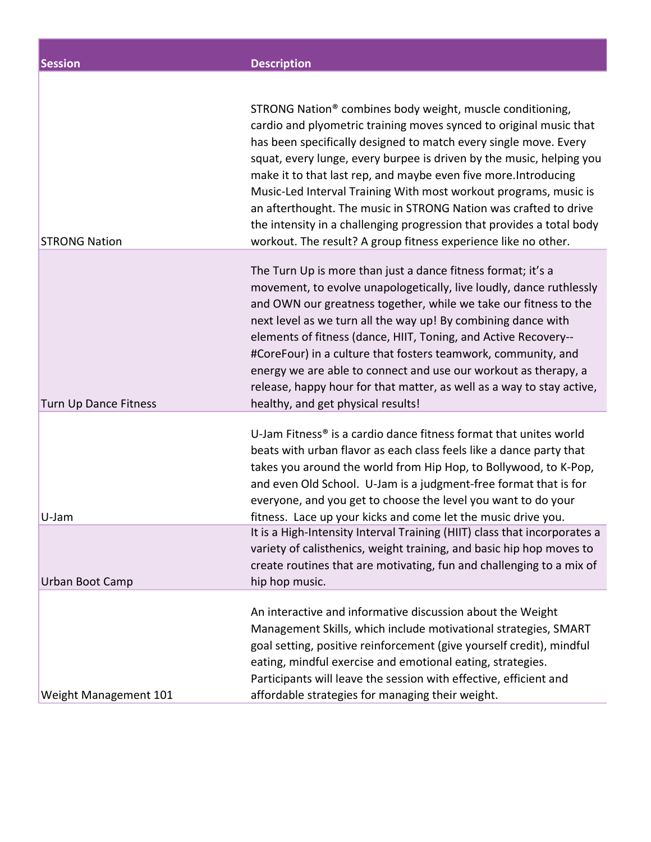| <b>Session</b>                           | <b>Description</b>                                                                                                                                                                                                                                                                                                                                                                                                                                                                                                                                                                                                                                          |
|------------------------------------------|-------------------------------------------------------------------------------------------------------------------------------------------------------------------------------------------------------------------------------------------------------------------------------------------------------------------------------------------------------------------------------------------------------------------------------------------------------------------------------------------------------------------------------------------------------------------------------------------------------------------------------------------------------------|
| <b>STRONG Nation</b>                     | STRONG Nation® combines body weight, muscle conditioning,<br>cardio and plyometric training moves synced to original music that<br>has been specifically designed to match every single move. Every<br>squat, every lunge, every burpee is driven by the music, helping you<br>make it to that last rep, and maybe even five more. Introducing<br>Music-Led Interval Training With most workout programs, music is<br>an afterthought. The music in STRONG Nation was crafted to drive<br>the intensity in a challenging progression that provides a total body<br>workout. The result? A group fitness experience like no other.                           |
| <b>Turn Up Dance Fitness</b>             | The Turn Up is more than just a dance fitness format; it's a<br>movement, to evolve unapologetically, live loudly, dance ruthlessly<br>and OWN our greatness together, while we take our fitness to the<br>next level as we turn all the way up! By combining dance with<br>elements of fitness (dance, HIIT, Toning, and Active Recovery--<br>#CoreFour) in a culture that fosters teamwork, community, and<br>energy we are able to connect and use our workout as therapy, a<br>release, happy hour for that matter, as well as a way to stay active,<br>healthy, and get physical results!                                                              |
| U-Jam                                    | U-Jam Fitness <sup>®</sup> is a cardio dance fitness format that unites world<br>beats with urban flavor as each class feels like a dance party that<br>takes you around the world from Hip Hop, to Bollywood, to K-Pop,<br>and even Old School. U-Jam is a judgment-free format that is for<br>everyone, and you get to choose the level you want to do your<br>fitness. Lace up your kicks and come let the music drive you.<br>It is a High-Intensity Interval Training (HIIT) class that incorporates a<br>variety of calisthenics, weight training, and basic hip hop moves to<br>create routines that are motivating, fun and challenging to a mix of |
| Urban Boot Camp<br>Weight Management 101 | hip hop music.<br>An interactive and informative discussion about the Weight<br>Management Skills, which include motivational strategies, SMART<br>goal setting, positive reinforcement (give yourself credit), mindful<br>eating, mindful exercise and emotional eating, strategies.<br>Participants will leave the session with effective, efficient and<br>affordable strategies for managing their weight.                                                                                                                                                                                                                                              |